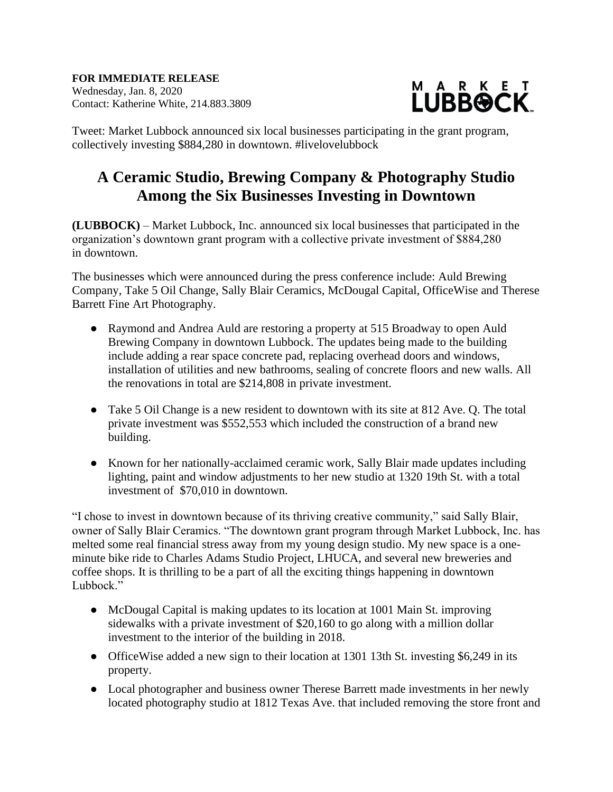**FOR IMMEDIATE RELEASE** Wednesday, Jan. 8, 2020 Contact: Katherine White, 214.883.3809



Tweet: Market Lubbock announced six local businesses participating in the grant program, collectively investing \$884,280 in downtown. #livelovelubbock

## **A Ceramic Studio, Brewing Company & Photography Studio Among the Six Businesses Investing in Downtown**

**(LUBBOCK)** – Market Lubbock, Inc. announced six local businesses that participated in the organization's downtown grant program with a collective private investment of \$884,280 in downtown.

The businesses which were announced during the press conference include: Auld Brewing Company, Take 5 Oil Change, Sally Blair Ceramics, McDougal Capital, OfficeWise and Therese Barrett Fine Art Photography.

- Raymond and Andrea Auld are restoring a property at 515 Broadway to open Auld Brewing Company in downtown Lubbock. The updates being made to the building include adding a rear space concrete pad, replacing overhead doors and windows, installation of utilities and new bathrooms, sealing of concrete floors and new walls. All the renovations in total are \$214,808 in private investment.
- Take 5 Oil Change is a new resident to downtown with its site at 812 Ave. O. The total private investment was \$552,553 which included the construction of a brand new building.
- Known for her nationally-acclaimed ceramic work, Sally Blair made updates including lighting, paint and window adjustments to her new studio at 1320 19th St. with a total investment of \$70,010 in downtown.

"I chose to invest in downtown because of its thriving creative community," said Sally Blair, owner of Sally Blair Ceramics. "The downtown grant program through Market Lubbock, Inc. has melted some real financial stress away from my young design studio. My new space is a oneminute bike ride to Charles Adams Studio Project, LHUCA, and several new breweries and coffee shops. It is thrilling to be a part of all the exciting things happening in downtown Lubbock."

- McDougal Capital is making updates to its location at 1001 Main St. improving sidewalks with a private investment of \$20,160 to go along with a million dollar investment to the interior of the building in 2018.
- OfficeWise added a new sign to their location at 1301 13th St. investing \$6,249 in its property.
- Local photographer and business owner Therese Barrett made investments in her newly located photography studio at 1812 Texas Ave. that included removing the store front and